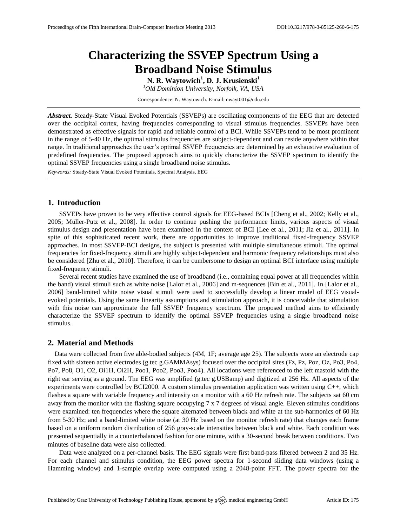# **Characterizing the SSVEP Spectrum Using a Broadband Noise Stimulus**

**N. R. Waytowich<sup>1</sup> , D. J. Krusienski<sup>1</sup>**

*<sup>1</sup>Old Dominion University, Norfolk, VA, USA*

Correspondence: N. Waytowich. E-mail: [nwayt001@odu.edu](mailto:nwayt001@odu.edu)

*Abstract.* Steady-State Visual Evoked Potentials (SSVEPs) are oscillating components of the EEG that are detected over the occipital cortex, having frequencies corresponding to visual stimulus frequencies. SSVEPs have been demonstrated as effective signals for rapid and reliable control of a BCI. While SSVEPs tend to be most prominent in the range of 5-40 Hz, the optimal stimulus frequencies are subject-dependent and can reside anywhere within that range. In traditional approaches the user's optimal SSVEP frequencies are determined by an exhaustive evaluation of predefined frequencies. The proposed approach aims to quickly characterize the SSVEP spectrum to identify the optimal SSVEP frequencies using a single broadband noise stimulus.

*Keywords:* Steady-State Visual Evoked Potentials, Spectral Analysis, EEG

# **1. Introduction**

SSVEPs have proven to be very effective control signals for EEG-based BCIs [Cheng et al., 2002; Kelly et al., 2005; Müller-Putz et al., 2008]. In order to continue pushing the performance limits, various aspects of visual stimulus design and presentation have been examined in the context of BCI [Lee et al., 2011; Jia et al., 2011]. In spite of this sophisticated recent work, there are opportunities to improve traditional fixed-frequency SSVEP approaches. In most SSVEP-BCI designs, the subject is presented with multiple simultaneous stimuli. The optimal frequencies for fixed-frequency stimuli are highly subject-dependent and harmonic frequency relationships must also be considered [Zhu et al., 2010]. Therefore, it can be cumbersome to design an optimal BCI interface using multiple fixed-frequency stimuli.

Several recent studies have examined the use of broadband (i.e., containing equal power at all frequencies within the band) visual stimuli such as white noise [Lalor et al., 2006] and m-sequences [Bin et al., 2011]. In [Lalor et al., 2006] band-limited white noise visual stimuli were used to successfully develop a linear model of EEG visualevoked potentials. Using the same linearity assumptions and stimulation approach, it is conceivable that stimulation with this noise can approximate the full SSVEP frequency spectrum. The proposed method aims to efficiently characterize the SSVEP spectrum to identify the optimal SSVEP frequencies using a single broadband noise stimulus.

#### **2. Material and Methods**

Data were collected from five able-bodied subjects (4M, 1F; average age 25). The subjects wore an electrode cap fixed with sixteen active electrodes (g.tec g.GAMMAsys) focused over the occipital sites (Fz, Pz, Poz, Oz, Po3, Po4, Po7, Po8, O1, O2, Oi1H, Oi2H, Poo1, Poo2, Poo3, Poo4). All locations were referenced to the left mastoid with the right ear serving as a ground. The EEG was amplified (g.tec g.USBamp) and digitized at 256 Hz. All aspects of the experiments were controlled by BCI2000. A custom stimulus presentation application was written using C++, which flashes a square with variable frequency and intensity on a monitor with a 60 Hz refresh rate. The subjects sat 60 cm away from the monitor with the flashing square occupying 7 x 7 degrees of visual angle. Eleven stimulus conditions were examined: ten frequencies where the square alternated between black and white at the sub-harmonics of 60 Hz from 5-30 Hz; and a band-limited white noise (at 30 Hz based on the monitor refresh rate) that changes each frame based on a uniform random distribution of 256 gray-scale intensities between black and white. Each condition was presented sequentially in a counterbalanced fashion for one minute, with a 30-second break between conditions. Two minutes of baseline data were also collected.

Data were analyzed on a per-channel basis. The EEG signals were first band-pass filtered between 2 and 35 Hz. For each channel and stimulus condition, the EEG power spectra for 1-second sliding data windows (using a Hamming window) and 1-sample overlap were computed using a 2048-point FFT. The power spectra for the